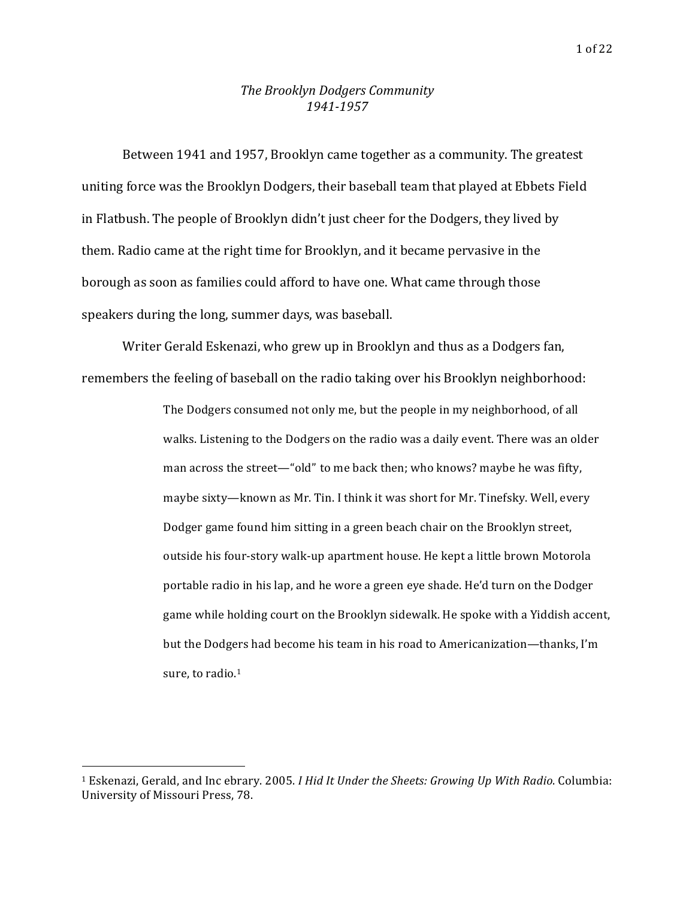## *The Brooklyn Dodgers Community 1941-1957*

Between 1941 and 1957, Brooklyn came together as a community. The greatest uniting force was the Brooklyn Dodgers, their baseball team that played at Ebbets Field in Flatbush. The people of Brooklyn didn't just cheer for the Dodgers, they lived by them. Radio came at the right time for Brooklyn, and it became pervasive in the borough as soon as families could afford to have one. What came through those speakers during the long, summer days, was baseball.

Writer Gerald Eskenazi, who grew up in Brooklyn and thus as a Dodgers fan, remembers the feeling of baseball on the radio taking over his Brooklyn neighborhood:

> The Dodgers consumed not only me, but the people in my neighborhood, of all walks. Listening to the Dodgers on the radio was a daily event. There was an older man across the street—"old" to me back then; who knows? maybe he was fifty, maybe sixty—known as Mr. Tin. I think it was short for Mr. Tinefsky. Well, every Dodger game found him sitting in a green beach chair on the Brooklyn street, outside his four-story walk-up apartment house. He kept a little brown Motorola portable radio in his lap, and he wore a green eye shade. He'd turn on the Dodger game while holding court on the Brooklyn sidewalk. He spoke with a Yiddish accent, but the Dodgers had become his team in his road to Americanization—thanks, I'm sure, to radio.<sup>1</sup>

<sup>1</sup> Eskenazi, Gerald, and Inc ebrary. 2005. *I Hid It Under the Sheets: Growing Up With Radio*. Columbia: University of Missouri Press, 78.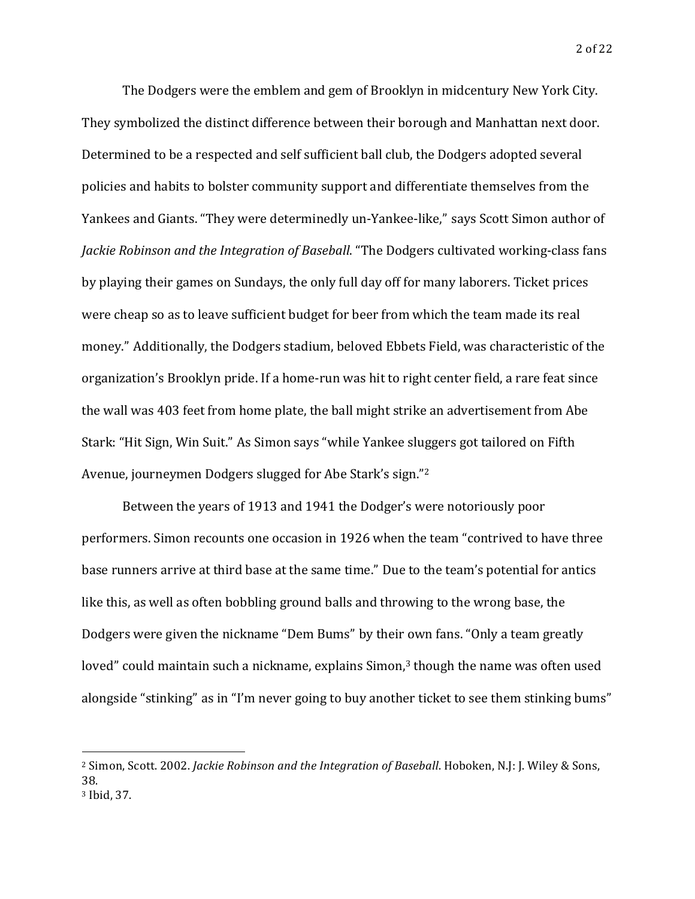The Dodgers were the emblem and gem of Brooklyn in midcentury New York City. They symbolized the distinct difference between their borough and Manhattan next door. Determined to be a respected and self sufficient ball club, the Dodgers adopted several policies and habits to bolster community support and differentiate themselves from the Yankees and Giants. "They were determinedly un-Yankee-like," says Scott Simon author of *Jackie Robinson and the Integration of Baseball*. "The Dodgers cultivated working-class fans by playing their games on Sundays, the only full day off for many laborers. Ticket prices were cheap so as to leave sufficient budget for beer from which the team made its real money." Additionally, the Dodgers stadium, beloved Ebbets Field, was characteristic of the organization's Brooklyn pride. If a home-run was hit to right center field, a rare feat since the wall was 403 feet from home plate, the ball might strike an advertisement from Abe Stark: "Hit Sign, Win Suit." As Simon says "while Yankee sluggers got tailored on Fifth Avenue, journeymen Dodgers slugged for Abe Stark's sign."2

Between the years of 1913 and 1941 the Dodger's were notoriously poor performers. Simon recounts one occasion in 1926 when the team "contrived to have three base runners arrive at third base at the same time." Due to the team's potential for antics like this, as well as often bobbling ground balls and throwing to the wrong base, the Dodgers were given the nickname "Dem Bums" by their own fans. "Only a team greatly loved" could maintain such a nickname, explains Simon,<sup>3</sup> though the name was often used alongside "stinking" as in "I'm never going to buy another ticket to see them stinking bums"

<sup>2</sup> Simon, Scott. 2002. *Jackie Robinson and the Integration of Baseball*. Hoboken, N.J: J. Wiley & Sons, 38. <sup>3</sup> Ibid, 37.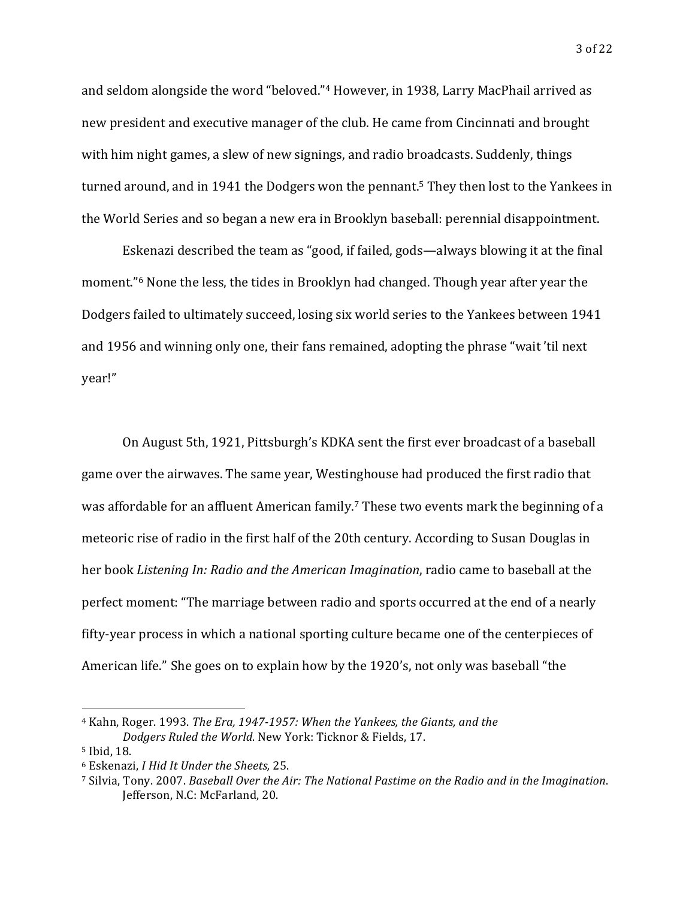and seldom alongside the word "beloved."4 However, in 1938, Larry MacPhail arrived as new president and executive manager of the club. He came from Cincinnati and brought with him night games, a slew of new signings, and radio broadcasts. Suddenly, things turned around, and in 1941 the Dodgers won the pennant.5 They then lost to the Yankees in the World Series and so began a new era in Brooklyn baseball: perennial disappointment.

Eskenazi described the team as "good, if failed, gods—always blowing it at the final moment."6 None the less, the tides in Brooklyn had changed. Though year after year the Dodgers failed to ultimately succeed, losing six world series to the Yankees between 1941 and 1956 and winning only one, their fans remained, adopting the phrase "wait 'til next year!"

On August 5th, 1921, Pittsburgh's KDKA sent the first ever broadcast of a baseball game over the airwaves. The same year, Westinghouse had produced the first radio that was affordable for an affluent American family.7 These two events mark the beginning of a meteoric rise of radio in the first half of the 20th century. According to Susan Douglas in her book *Listening In: Radio and the American Imagination*, radio came to baseball at the perfect moment: "The marriage between radio and sports occurred at the end of a nearly fifty-year process in which a national sporting culture became one of the centerpieces of American life." She goes on to explain how by the 1920's, not only was baseball "the

<sup>4</sup> Kahn, Roger. 1993. *The Era, 1947-1957: When the Yankees, the Giants, and the Dodgers Ruled the World*. New York: Ticknor & Fields, 17.

<sup>5</sup> Ibid, 18.

<sup>6</sup> Eskenazi, *I Hid It Under the Sheets,* 25.

<sup>7</sup> Silvia, Tony. 2007. *Baseball Over the Air: The National Pastime on the Radio and in the Imagination*. Jefferson, N.C: McFarland, 20.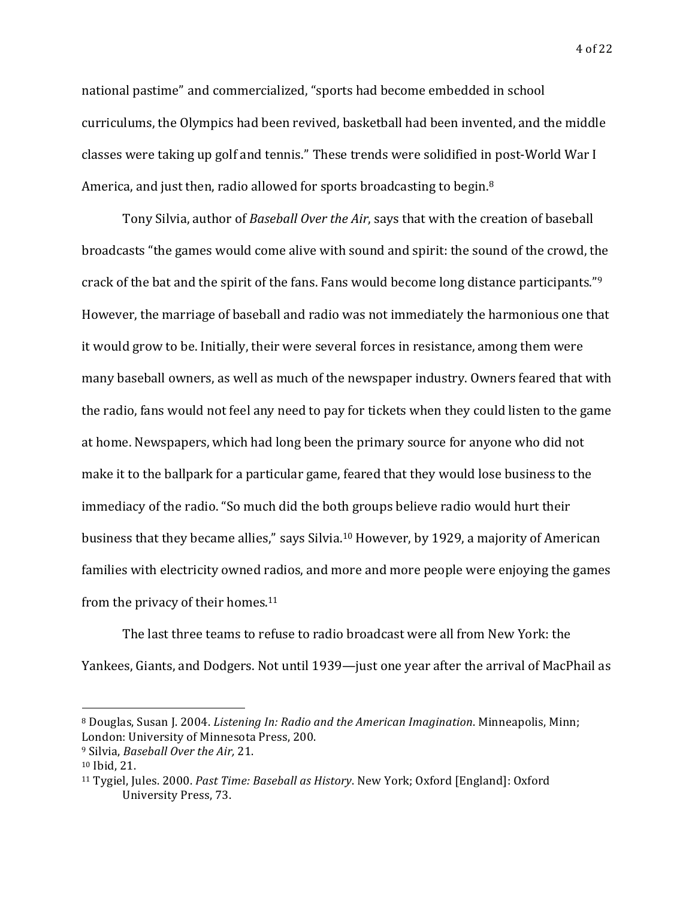national pastime" and commercialized, "sports had become embedded in school curriculums, the Olympics had been revived, basketball had been invented, and the middle classes were taking up golf and tennis." These trends were solidified in post-World War I America, and just then, radio allowed for sports broadcasting to begin.<sup>8</sup>

Tony Silvia, author of *Baseball Over the Air*, says that with the creation of baseball broadcasts "the games would come alive with sound and spirit: the sound of the crowd, the crack of the bat and the spirit of the fans. Fans would become long distance participants."9 However, the marriage of baseball and radio was not immediately the harmonious one that it would grow to be. Initially, their were several forces in resistance, among them were many baseball owners, as well as much of the newspaper industry. Owners feared that with the radio, fans would not feel any need to pay for tickets when they could listen to the game at home. Newspapers, which had long been the primary source for anyone who did not make it to the ballpark for a particular game, feared that they would lose business to the immediacy of the radio. "So much did the both groups believe radio would hurt their business that they became allies," says Silvia.10 However, by 1929, a majority of American families with electricity owned radios, and more and more people were enjoying the games from the privacy of their homes.11

The last three teams to refuse to radio broadcast were all from New York: the Yankees, Giants, and Dodgers. Not until 1939—just one year after the arrival of MacPhail as

<sup>8</sup> Douglas, Susan J. 2004. *Listening In: Radio and the American Imagination*. Minneapolis, Minn; London: University of Minnesota Press, 200.

<sup>9</sup> Silvia, *Baseball Over the Air,* 21.

<sup>10</sup> Ibid, 21.

<sup>11</sup> Tygiel, Jules. 2000. *Past Time: Baseball as History*. New York; Oxford [England]: Oxford University Press, 73.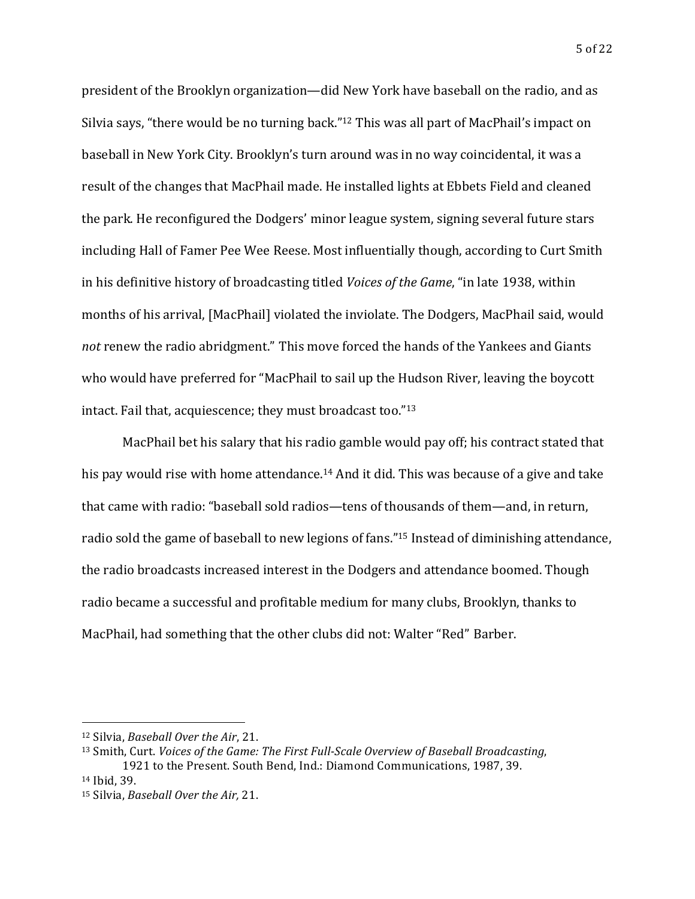president of the Brooklyn organization—did New York have baseball on the radio, and as Silvia says, "there would be no turning back."12 This was all part of MacPhail's impact on baseball in New York City. Brooklyn's turn around was in no way coincidental, it was a result of the changes that MacPhail made. He installed lights at Ebbets Field and cleaned the park. He reconfigured the Dodgers' minor league system, signing several future stars including Hall of Famer Pee Wee Reese. Most influentially though, according to Curt Smith in his definitive history of broadcasting titled *Voices of the Game*, "in late 1938, within months of his arrival, [MacPhail] violated the inviolate. The Dodgers, MacPhail said, would *not* renew the radio abridgment." This move forced the hands of the Yankees and Giants who would have preferred for "MacPhail to sail up the Hudson River, leaving the boycott intact. Fail that, acquiescence; they must broadcast too."13

MacPhail bet his salary that his radio gamble would pay off; his contract stated that his pay would rise with home attendance.<sup>14</sup> And it did. This was because of a give and take that came with radio: "baseball sold radios—tens of thousands of them—and, in return, radio sold the game of baseball to new legions of fans."15 Instead of diminishing attendance, the radio broadcasts increased interest in the Dodgers and attendance boomed. Though radio became a successful and profitable medium for many clubs, Brooklyn, thanks to MacPhail, had something that the other clubs did not: Walter "Red" Barber.

<sup>12</sup> Silvia, *Baseball Over the Air*, 21.

<sup>13</sup> Smith, Curt. *Voices of the Game: The First Full-Scale Overview of Baseball Broadcasting*, 1921 to the Present. South Bend, Ind.: Diamond Communications, 1987, 39.

<sup>14</sup> Ibid, 39.

<sup>15</sup> Silvia, *Baseball Over the Air,* 21.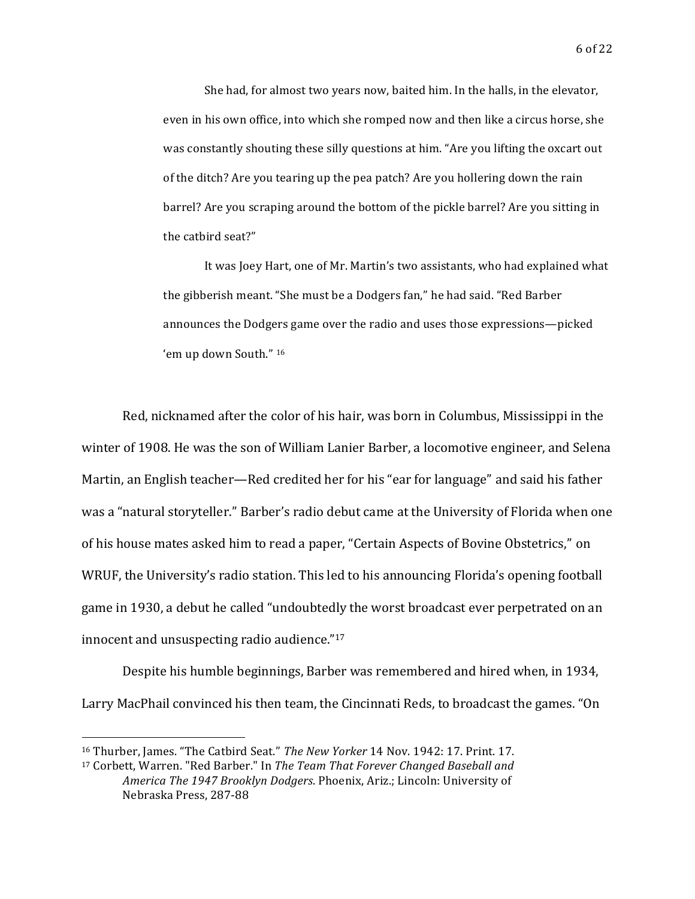She had, for almost two years now, baited him. In the halls, in the elevator, even in his own office, into which she romped now and then like a circus horse, she was constantly shouting these silly questions at him. "Are you lifting the oxcart out of the ditch? Are you tearing up the pea patch? Are you hollering down the rain barrel? Are you scraping around the bottom of the pickle barrel? Are you sitting in the catbird seat?"

It was Joey Hart, one of Mr. Martin's two assistants, who had explained what the gibberish meant. "She must be a Dodgers fan," he had said. "Red Barber announces the Dodgers game over the radio and uses those expressions—picked 'em up down South." <sup>16</sup>

Red, nicknamed after the color of his hair, was born in Columbus, Mississippi in the winter of 1908. He was the son of William Lanier Barber, a locomotive engineer, and Selena Martin, an English teacher—Red credited her for his "ear for language" and said his father was a "natural storyteller." Barber's radio debut came at the University of Florida when one of his house mates asked him to read a paper, "Certain Aspects of Bovine Obstetrics," on WRUF, the University's radio station. This led to his announcing Florida's opening football game in 1930, a debut he called "undoubtedly the worst broadcast ever perpetrated on an innocent and unsuspecting radio audience."17

Despite his humble beginnings, Barber was remembered and hired when, in 1934, Larry MacPhail convinced his then team, the Cincinnati Reds, to broadcast the games. "On

<sup>16</sup> Thurber, James. "The Catbird Seat." *The New Yorker* 14 Nov. 1942: 17. Print. 17.

<sup>17</sup> Corbett, Warren. "Red Barber." In *The Team That Forever Changed Baseball and America The 1947 Brooklyn Dodgers*. Phoenix, Ariz.; Lincoln: University of Nebraska Press, 287-88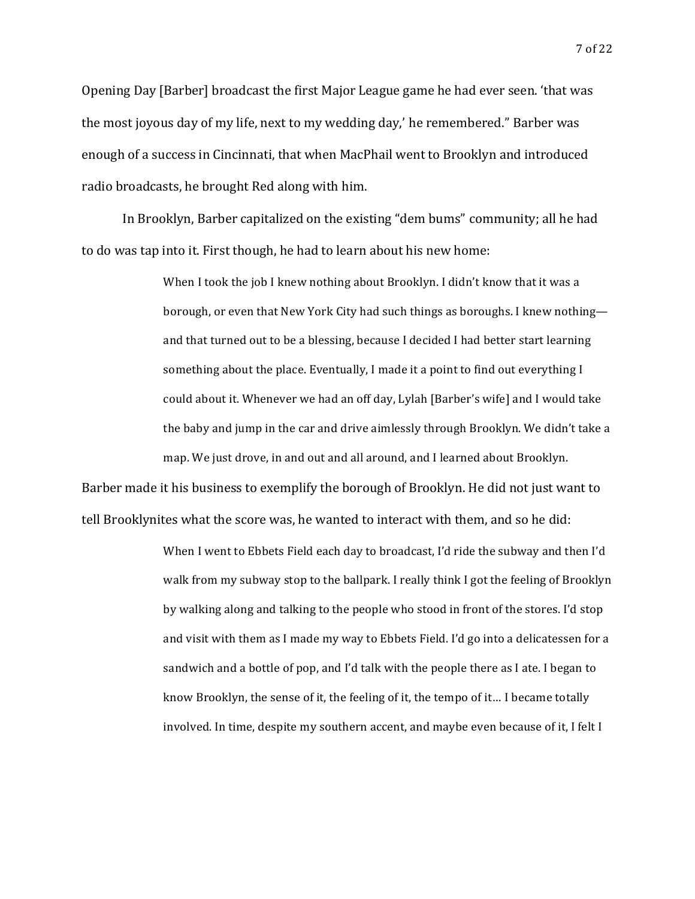Opening Day [Barber] broadcast the first Major League game he had ever seen. 'that was the most joyous day of my life, next to my wedding day,' he remembered." Barber was enough of a success in Cincinnati, that when MacPhail went to Brooklyn and introduced radio broadcasts, he brought Red along with him.

In Brooklyn, Barber capitalized on the existing "dem bums" community; all he had to do was tap into it. First though, he had to learn about his new home:

> When I took the job I knew nothing about Brooklyn. I didn't know that it was a borough, or even that New York City had such things as boroughs. I knew nothing and that turned out to be a blessing, because I decided I had better start learning something about the place. Eventually, I made it a point to find out everything I could about it. Whenever we had an off day, Lylah [Barber's wife] and I would take the baby and jump in the car and drive aimlessly through Brooklyn. We didn't take a map. We just drove, in and out and all around, and I learned about Brooklyn.

Barber made it his business to exemplify the borough of Brooklyn. He did not just want to tell Brooklynites what the score was, he wanted to interact with them, and so he did:

> When I went to Ebbets Field each day to broadcast, I'd ride the subway and then I'd walk from my subway stop to the ballpark. I really think I got the feeling of Brooklyn by walking along and talking to the people who stood in front of the stores. I'd stop and visit with them as I made my way to Ebbets Field. I'd go into a delicatessen for a sandwich and a bottle of pop, and I'd talk with the people there as I ate. I began to know Brooklyn, the sense of it, the feeling of it, the tempo of it… I became totally involved. In time, despite my southern accent, and maybe even because of it, I felt I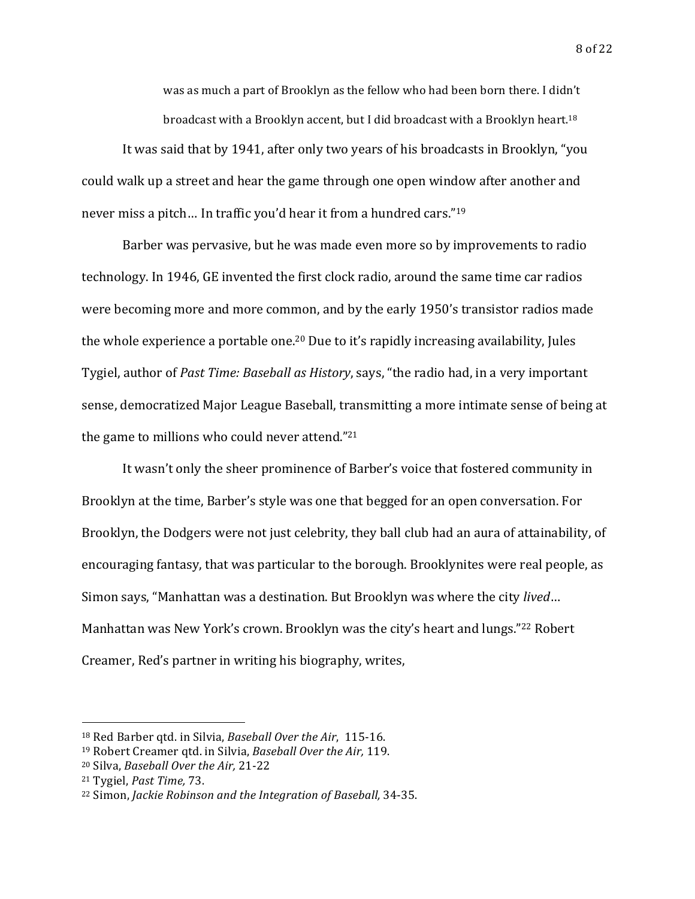was as much a part of Brooklyn as the fellow who had been born there. I didn't broadcast with a Brooklyn accent, but I did broadcast with a Brooklyn heart.18

It was said that by 1941, after only two years of his broadcasts in Brooklyn, "you could walk up a street and hear the game through one open window after another and never miss a pitch… In traffic you'd hear it from a hundred cars."19

Barber was pervasive, but he was made even more so by improvements to radio technology. In 1946, GE invented the first clock radio, around the same time car radios were becoming more and more common, and by the early 1950's transistor radios made the whole experience a portable one.<sup>20</sup> Due to it's rapidly increasing availability, Jules Tygiel, author of *Past Time: Baseball as History*, says, "the radio had, in a very important sense, democratized Major League Baseball, transmitting a more intimate sense of being at the game to millions who could never attend."21

It wasn't only the sheer prominence of Barber's voice that fostered community in Brooklyn at the time, Barber's style was one that begged for an open conversation. For Brooklyn, the Dodgers were not just celebrity, they ball club had an aura of attainability, of encouraging fantasy, that was particular to the borough. Brooklynites were real people, as Simon says, "Manhattan was a destination. But Brooklyn was where the city *lived*… Manhattan was New York's crown. Brooklyn was the city's heart and lungs."<sup>22</sup> Robert Creamer, Red's partner in writing his biography, writes,

<sup>18</sup> Red Barber qtd. in Silvia, *Baseball Over the Air*, 115-16.

<sup>19</sup> Robert Creamer qtd. in Silvia, *Baseball Over the Air,* 119.

<sup>20</sup> Silva, *Baseball Over the Air,* 21-22

<sup>21</sup> Tygiel, *Past Time,* 73.

<sup>22</sup> Simon, *Jackie Robinson and the Integration of Baseball,* 34-35.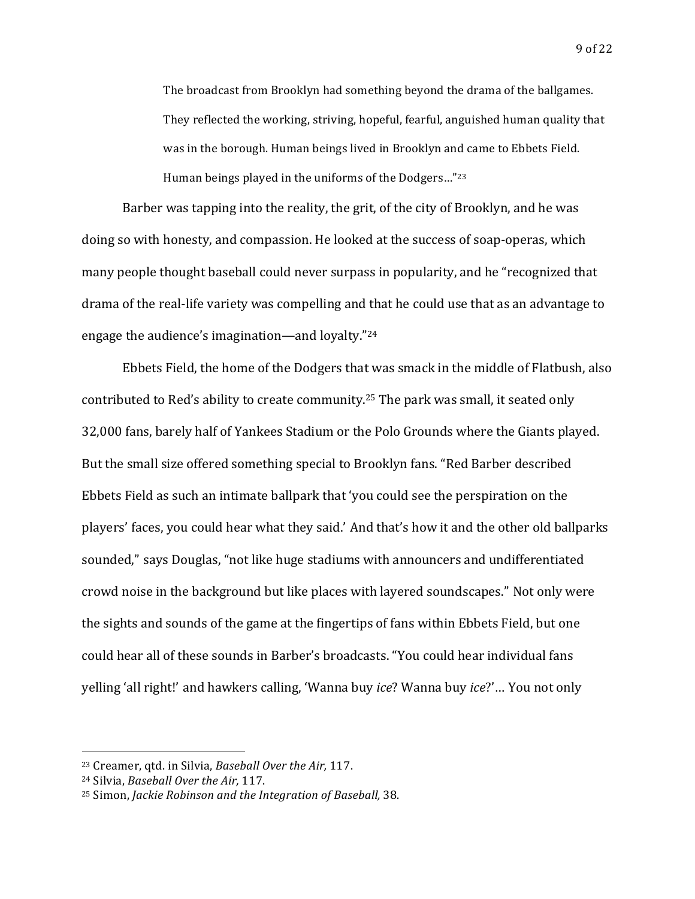The broadcast from Brooklyn had something beyond the drama of the ballgames. They reflected the working, striving, hopeful, fearful, anguished human quality that was in the borough. Human beings lived in Brooklyn and came to Ebbets Field. Human beings played in the uniforms of the Dodgers…"23

Barber was tapping into the reality, the grit, of the city of Brooklyn, and he was doing so with honesty, and compassion. He looked at the success of soap-operas, which many people thought baseball could never surpass in popularity, and he "recognized that drama of the real-life variety was compelling and that he could use that as an advantage to engage the audience's imagination—and loyalty."24

Ebbets Field, the home of the Dodgers that was smack in the middle of Flatbush, also contributed to Red's ability to create community.25 The park was small, it seated only 32,000 fans, barely half of Yankees Stadium or the Polo Grounds where the Giants played. But the small size offered something special to Brooklyn fans. "Red Barber described Ebbets Field as such an intimate ballpark that 'you could see the perspiration on the players' faces, you could hear what they said.' And that's how it and the other old ballparks sounded," says Douglas, "not like huge stadiums with announcers and undifferentiated crowd noise in the background but like places with layered soundscapes." Not only were the sights and sounds of the game at the fingertips of fans within Ebbets Field, but one could hear all of these sounds in Barber's broadcasts. "You could hear individual fans yelling 'all right!' and hawkers calling, 'Wanna buy *ice*? Wanna buy *ice*?'… You not only

<sup>23</sup> Creamer, qtd. in Silvia, *Baseball Over the Air,* 117.

<sup>24</sup> Silvia, *Baseball Over the Air,* 117.

<sup>25</sup> Simon, *Jackie Robinson and the Integration of Baseball,* 38.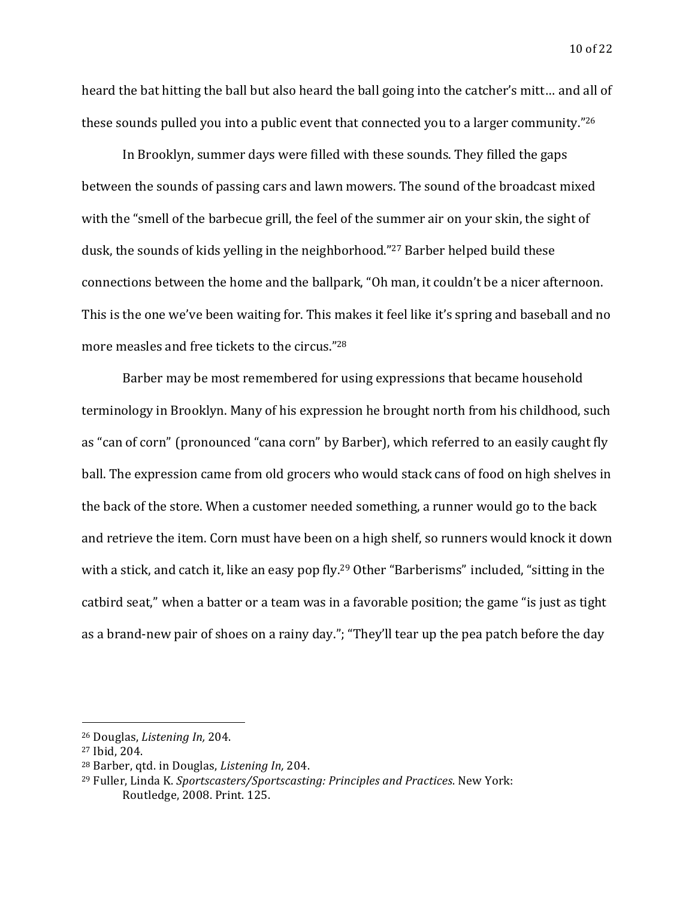heard the bat hitting the ball but also heard the ball going into the catcher's mitt… and all of these sounds pulled you into a public event that connected you to a larger community."26

In Brooklyn, summer days were filled with these sounds. They filled the gaps between the sounds of passing cars and lawn mowers. The sound of the broadcast mixed with the "smell of the barbecue grill, the feel of the summer air on your skin, the sight of dusk, the sounds of kids yelling in the neighborhood."<sup>27</sup> Barber helped build these connections between the home and the ballpark, "Oh man, it couldn't be a nicer afternoon. This is the one we've been waiting for. This makes it feel like it's spring and baseball and no more measles and free tickets to the circus."28

Barber may be most remembered for using expressions that became household terminology in Brooklyn. Many of his expression he brought north from his childhood, such as "can of corn" (pronounced "cana corn" by Barber), which referred to an easily caught fly ball. The expression came from old grocers who would stack cans of food on high shelves in the back of the store. When a customer needed something, a runner would go to the back and retrieve the item. Corn must have been on a high shelf, so runners would knock it down with a stick, and catch it, like an easy pop fly.<sup>29</sup> Other "Barberisms" included, "sitting in the catbird seat," when a batter or a team was in a favorable position; the game "is just as tight as a brand-new pair of shoes on a rainy day."; "They'll tear up the pea patch before the day

<sup>26</sup> Douglas, *Listening In,* 204.

<sup>27</sup> Ibid, 204. 28 Barber, qtd. in Douglas, *Listening In,* 204.

<sup>29</sup> Fuller, Linda K. *Sportscasters/Sportscasting: Principles and Practices*. New York: Routledge, 2008. Print. 125.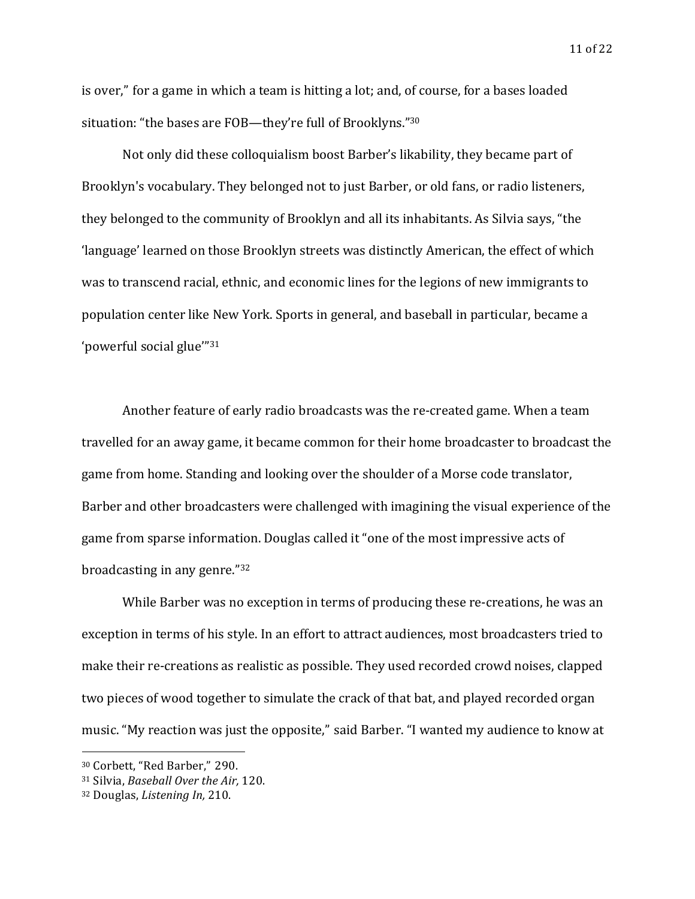is over," for a game in which a team is hitting a lot; and, of course, for a bases loaded situation: "the bases are FOB—they're full of Brooklyns."30

Not only did these colloquialism boost Barber's likability, they became part of Brooklyn's vocabulary. They belonged not to just Barber, or old fans, or radio listeners, they belonged to the community of Brooklyn and all its inhabitants. As Silvia says, "the 'language' learned on those Brooklyn streets was distinctly American, the effect of which was to transcend racial, ethnic, and economic lines for the legions of new immigrants to population center like New York. Sports in general, and baseball in particular, became a 'powerful social glue'"31

Another feature of early radio broadcasts was the re-created game. When a team travelled for an away game, it became common for their home broadcaster to broadcast the game from home. Standing and looking over the shoulder of a Morse code translator, Barber and other broadcasters were challenged with imagining the visual experience of the game from sparse information. Douglas called it "one of the most impressive acts of broadcasting in any genre."32

While Barber was no exception in terms of producing these re-creations, he was an exception in terms of his style. In an effort to attract audiences, most broadcasters tried to make their re-creations as realistic as possible. They used recorded crowd noises, clapped two pieces of wood together to simulate the crack of that bat, and played recorded organ music. "My reaction was just the opposite," said Barber. "I wanted my audience to know at

<sup>30</sup> Corbett, "Red Barber," 290.

<sup>31</sup> Silvia, *Baseball Over the Air,* 120.

<sup>32</sup> Douglas, *Listening In,* 210.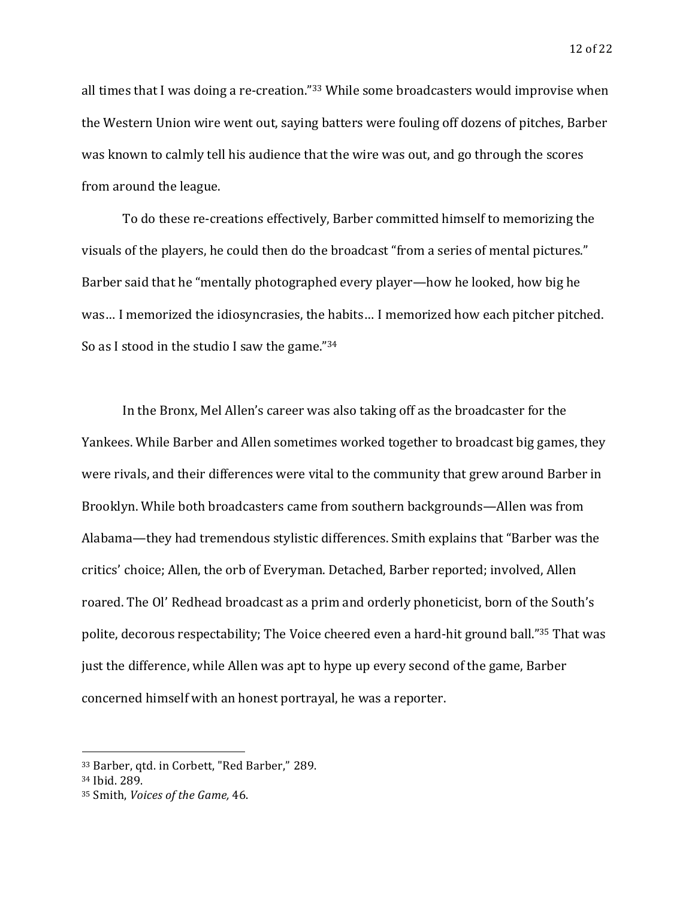all times that I was doing a re-creation."33 While some broadcasters would improvise when the Western Union wire went out, saying batters were fouling off dozens of pitches, Barber was known to calmly tell his audience that the wire was out, and go through the scores from around the league.

To do these re-creations effectively, Barber committed himself to memorizing the visuals of the players, he could then do the broadcast "from a series of mental pictures." Barber said that he "mentally photographed every player—how he looked, how big he was… I memorized the idiosyncrasies, the habits… I memorized how each pitcher pitched. So as I stood in the studio I saw the game."34

In the Bronx, Mel Allen's career was also taking off as the broadcaster for the Yankees. While Barber and Allen sometimes worked together to broadcast big games, they were rivals, and their differences were vital to the community that grew around Barber in Brooklyn. While both broadcasters came from southern backgrounds—Allen was from Alabama—they had tremendous stylistic differences. Smith explains that "Barber was the critics' choice; Allen, the orb of Everyman. Detached, Barber reported; involved, Allen roared. The Ol' Redhead broadcast as a prim and orderly phoneticist, born of the South's polite, decorous respectability; The Voice cheered even a hard-hit ground ball."35 That was just the difference, while Allen was apt to hype up every second of the game, Barber concerned himself with an honest portrayal, he was a reporter.

<sup>33</sup> Barber, qtd. in Corbett, "Red Barber," 289.

<sup>34</sup> Ibid. 289.

<sup>35</sup> Smith, *Voices of the Game,* 46.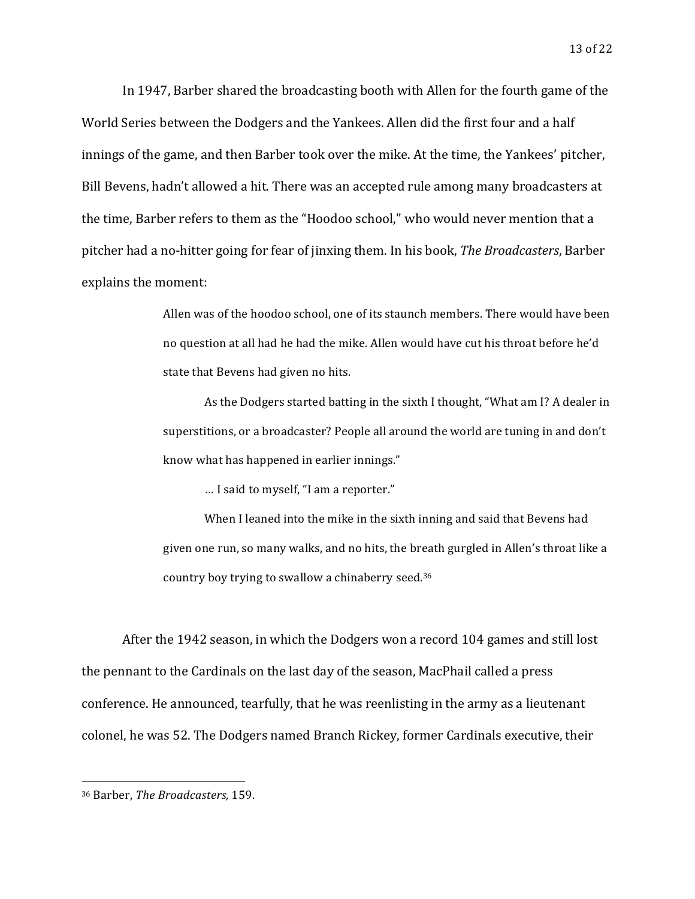In 1947, Barber shared the broadcasting booth with Allen for the fourth game of the World Series between the Dodgers and the Yankees. Allen did the first four and a half innings of the game, and then Barber took over the mike. At the time, the Yankees' pitcher, Bill Bevens, hadn't allowed a hit. There was an accepted rule among many broadcasters at the time, Barber refers to them as the "Hoodoo school," who would never mention that a pitcher had a no-hitter going for fear of jinxing them. In his book, *The Broadcasters*, Barber explains the moment:

> Allen was of the hoodoo school, one of its staunch members. There would have been no question at all had he had the mike. Allen would have cut his throat before he'd state that Bevens had given no hits.

> As the Dodgers started batting in the sixth I thought, "What am I? A dealer in superstitions, or a broadcaster? People all around the world are tuning in and don't know what has happened in earlier innings."

… I said to myself, "I am a reporter."

When I leaned into the mike in the sixth inning and said that Bevens had given one run, so many walks, and no hits, the breath gurgled in Allen's throat like a country boy trying to swallow a chinaberry seed.36

After the 1942 season, in which the Dodgers won a record 104 games and still lost the pennant to the Cardinals on the last day of the season, MacPhail called a press conference. He announced, tearfully, that he was reenlisting in the army as a lieutenant colonel, he was 52. The Dodgers named Branch Rickey, former Cardinals executive, their

<sup>36</sup> Barber, *The Broadcasters,* 159.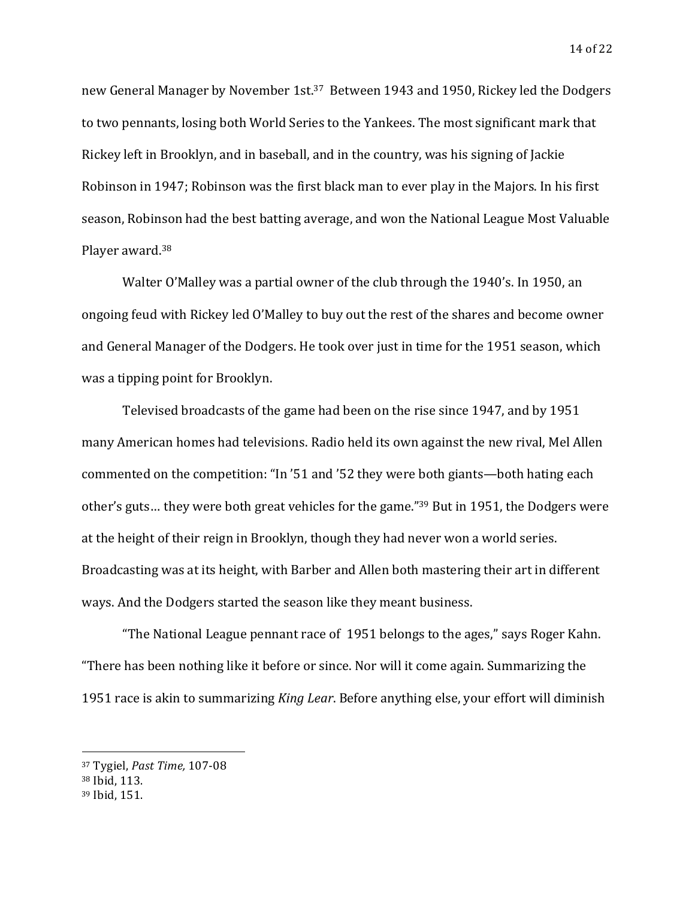new General Manager by November 1st.<sup>37</sup> Between 1943 and 1950, Rickey led the Dodgers to two pennants, losing both World Series to the Yankees. The most significant mark that Rickey left in Brooklyn, and in baseball, and in the country, was his signing of Jackie Robinson in 1947; Robinson was the first black man to ever play in the Majors. In his first season, Robinson had the best batting average, and won the National League Most Valuable Player award.38

Walter O'Malley was a partial owner of the club through the 1940's. In 1950, an ongoing feud with Rickey led O'Malley to buy out the rest of the shares and become owner and General Manager of the Dodgers. He took over just in time for the 1951 season, which was a tipping point for Brooklyn.

Televised broadcasts of the game had been on the rise since 1947, and by 1951 many American homes had televisions. Radio held its own against the new rival, Mel Allen commented on the competition: "In '51 and '52 they were both giants—both hating each other's guts… they were both great vehicles for the game."39 But in 1951, the Dodgers were at the height of their reign in Brooklyn, though they had never won a world series. Broadcasting was at its height, with Barber and Allen both mastering their art in different ways. And the Dodgers started the season like they meant business.

"The National League pennant race of 1951 belongs to the ages," says Roger Kahn. "There has been nothing like it before or since. Nor will it come again. Summarizing the 1951 race is akin to summarizing *King Lear*. Before anything else, your effort will diminish

<sup>37</sup> Tygiel, *Past Time,* 107-08

<sup>38</sup> Ibid, 113.

<sup>39</sup> Ibid, 151.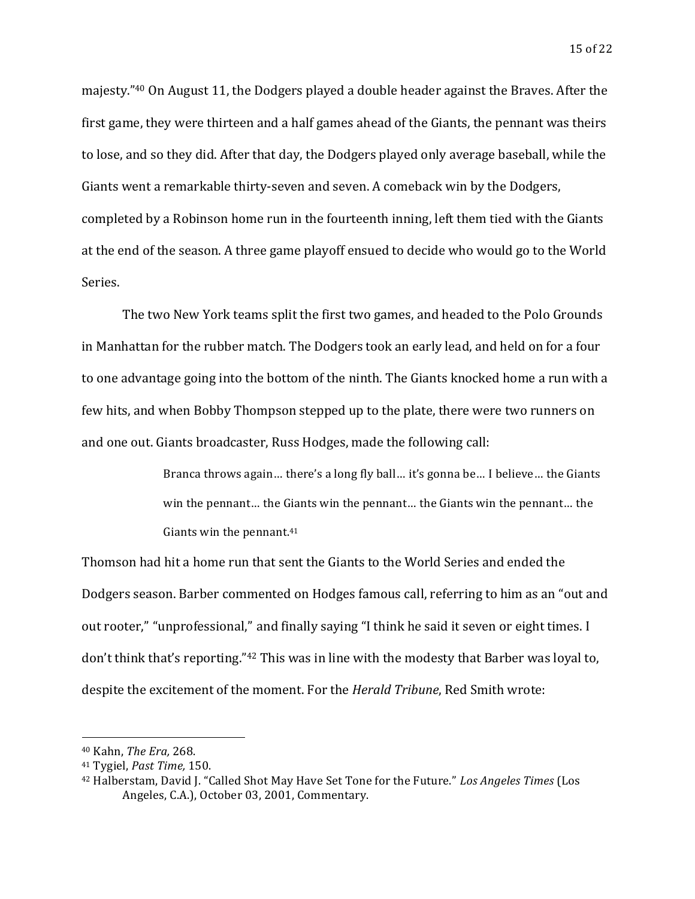majesty."40 On August 11, the Dodgers played a double header against the Braves. After the first game, they were thirteen and a half games ahead of the Giants, the pennant was theirs to lose, and so they did. After that day, the Dodgers played only average baseball, while the Giants went a remarkable thirty-seven and seven. A comeback win by the Dodgers, completed by a Robinson home run in the fourteenth inning, left them tied with the Giants at the end of the season. A three game playoff ensued to decide who would go to the World Series.

The two New York teams split the first two games, and headed to the Polo Grounds in Manhattan for the rubber match. The Dodgers took an early lead, and held on for a four to one advantage going into the bottom of the ninth. The Giants knocked home a run with a few hits, and when Bobby Thompson stepped up to the plate, there were two runners on and one out. Giants broadcaster, Russ Hodges, made the following call:

> Branca throws again… there's a long fly ball… it's gonna be… I believe… the Giants win the pennant… the Giants win the pennant… the Giants win the pennant… the Giants win the pennant.<sup>41</sup>

Thomson had hit a home run that sent the Giants to the World Series and ended the Dodgers season. Barber commented on Hodges famous call, referring to him as an "out and out rooter," "unprofessional," and finally saying "I think he said it seven or eight times. I don't think that's reporting."42 This was in line with the modesty that Barber was loyal to, despite the excitement of the moment. For the *Herald Tribune*, Red Smith wrote:

<sup>40</sup> Kahn, *The Era,* 268.

<sup>41</sup> Tygiel, *Past Time,* 150.

<sup>42</sup> Halberstam, David J. "Called Shot May Have Set Tone for the Future." *Los Angeles Times* (Los Angeles, C.A.), October 03, 2001, Commentary.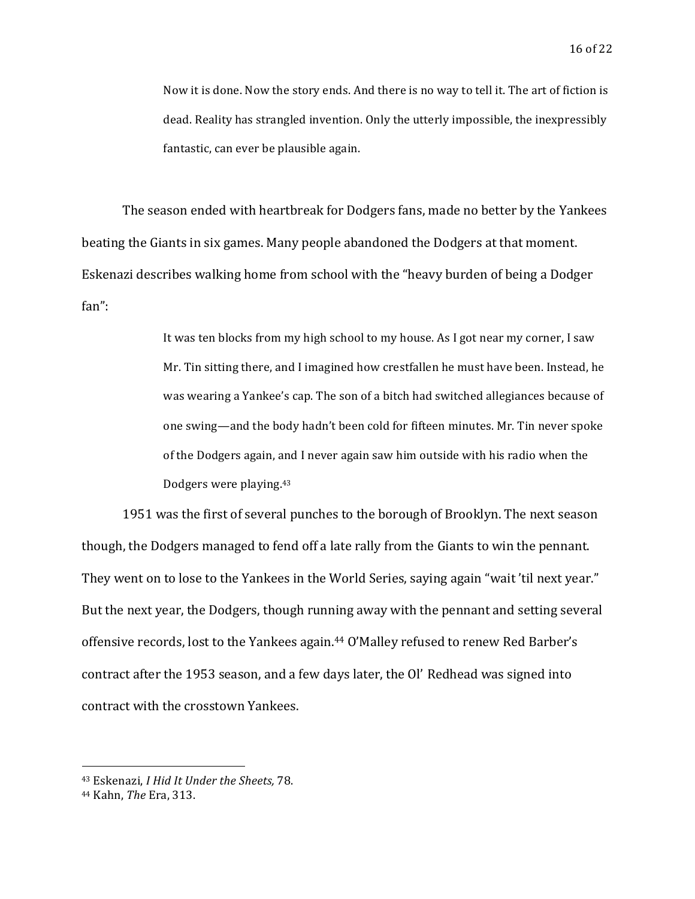Now it is done. Now the story ends. And there is no way to tell it. The art of fiction is dead. Reality has strangled invention. Only the utterly impossible, the inexpressibly fantastic, can ever be plausible again.

The season ended with heartbreak for Dodgers fans, made no better by the Yankees beating the Giants in six games. Many people abandoned the Dodgers at that moment. Eskenazi describes walking home from school with the "heavy burden of being a Dodger fan":

> It was ten blocks from my high school to my house. As I got near my corner, I saw Mr. Tin sitting there, and I imagined how crestfallen he must have been. Instead, he was wearing a Yankee's cap. The son of a bitch had switched allegiances because of one swing—and the body hadn't been cold for fifteen minutes. Mr. Tin never spoke of the Dodgers again, and I never again saw him outside with his radio when the Dodgers were playing.43

1951 was the first of several punches to the borough of Brooklyn. The next season though, the Dodgers managed to fend off a late rally from the Giants to win the pennant. They went on to lose to the Yankees in the World Series, saying again "wait 'til next year." But the next year, the Dodgers, though running away with the pennant and setting several offensive records, lost to the Yankees again.44 O'Malley refused to renew Red Barber's contract after the 1953 season, and a few days later, the Ol' Redhead was signed into contract with the crosstown Yankees.

<sup>43</sup> Eskenazi, *I Hid It Under the Sheets,* 78.

<sup>44</sup> Kahn, *The* Era, 313.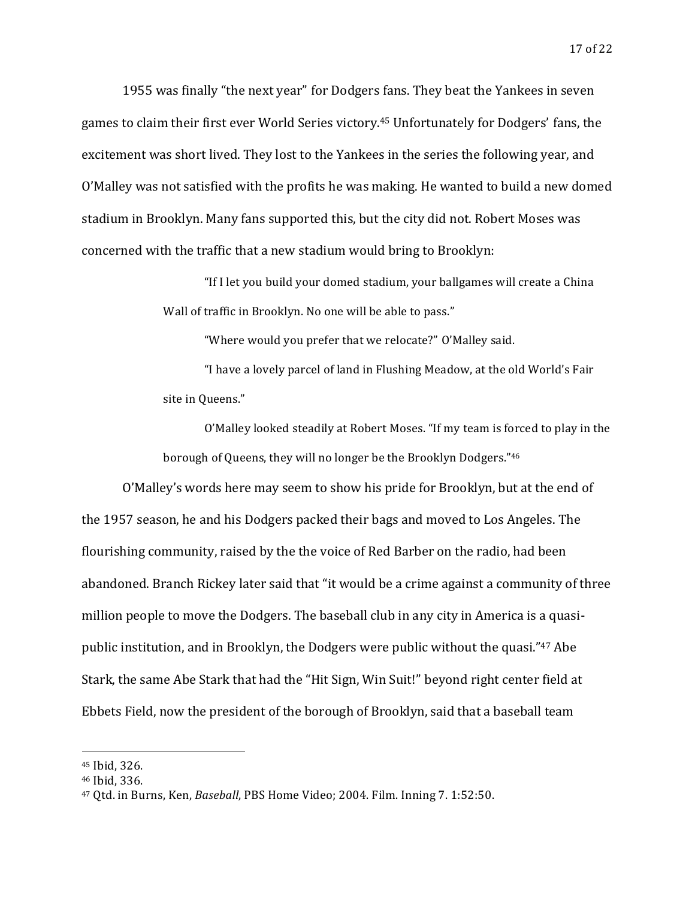1955 was finally "the next year" for Dodgers fans. They beat the Yankees in seven games to claim their first ever World Series victory.45 Unfortunately for Dodgers' fans, the excitement was short lived. They lost to the Yankees in the series the following year, and O'Malley was not satisfied with the profits he was making. He wanted to build a new domed stadium in Brooklyn. Many fans supported this, but the city did not. Robert Moses was concerned with the traffic that a new stadium would bring to Brooklyn:

> "If I let you build your domed stadium, your ballgames will create a China Wall of traffic in Brooklyn. No one will be able to pass."

> > "Where would you prefer that we relocate?" O'Malley said.

"I have a lovely parcel of land in Flushing Meadow, at the old World's Fair site in Queens."

O'Malley looked steadily at Robert Moses. "If my team is forced to play in the borough of Queens, they will no longer be the Brooklyn Dodgers."46

O'Malley's words here may seem to show his pride for Brooklyn, but at the end of the 1957 season, he and his Dodgers packed their bags and moved to Los Angeles. The flourishing community, raised by the the voice of Red Barber on the radio, had been abandoned. Branch Rickey later said that "it would be a crime against a community of three million people to move the Dodgers. The baseball club in any city in America is a quasipublic institution, and in Brooklyn, the Dodgers were public without the quasi."47 Abe Stark, the same Abe Stark that had the "Hit Sign, Win Suit!" beyond right center field at Ebbets Field, now the president of the borough of Brooklyn, said that a baseball team

<sup>45</sup> Ibid, 326.

<sup>46</sup> Ibid, 336.

<sup>47</sup> Qtd. in Burns, Ken, *Baseball*, PBS Home Video; 2004. Film. Inning 7. 1:52:50.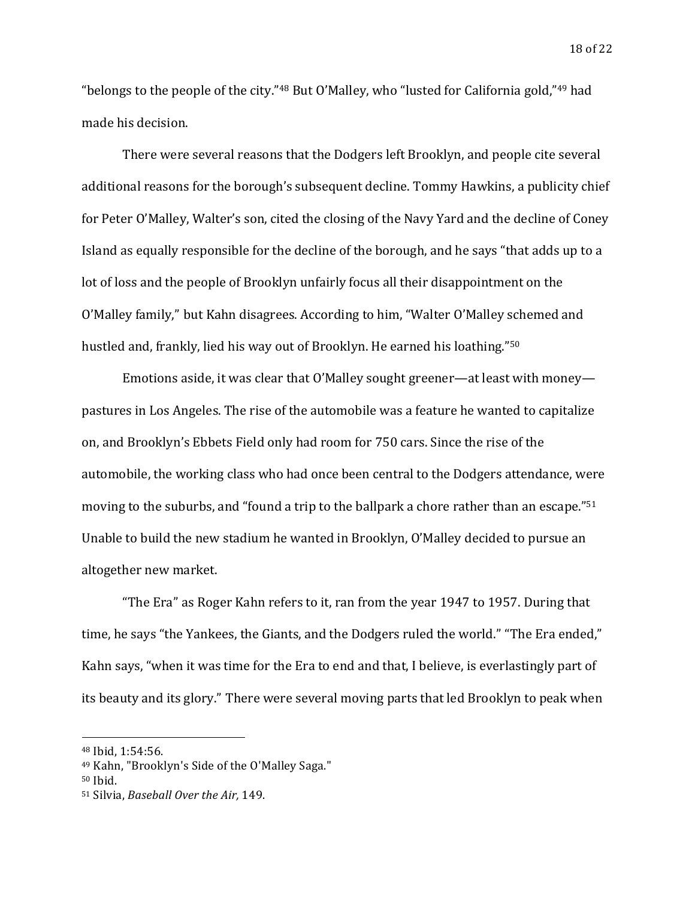"belongs to the people of the city."<sup>48</sup> But O'Malley, who "lusted for California gold,"<sup>49</sup> had made his decision.

There were several reasons that the Dodgers left Brooklyn, and people cite several additional reasons for the borough's subsequent decline. Tommy Hawkins, a publicity chief for Peter O'Malley, Walter's son, cited the closing of the Navy Yard and the decline of Coney Island as equally responsible for the decline of the borough, and he says "that adds up to a lot of loss and the people of Brooklyn unfairly focus all their disappointment on the O'Malley family," but Kahn disagrees. According to him, "Walter O'Malley schemed and hustled and, frankly, lied his way out of Brooklyn. He earned his loathing."50

Emotions aside, it was clear that O'Malley sought greener—at least with money pastures in Los Angeles. The rise of the automobile was a feature he wanted to capitalize on, and Brooklyn's Ebbets Field only had room for 750 cars. Since the rise of the automobile, the working class who had once been central to the Dodgers attendance, were moving to the suburbs, and "found a trip to the ballpark a chore rather than an escape."51 Unable to build the new stadium he wanted in Brooklyn, O'Malley decided to pursue an altogether new market.

"The Era" as Roger Kahn refers to it, ran from the year 1947 to 1957. During that time, he says "the Yankees, the Giants, and the Dodgers ruled the world." "The Era ended," Kahn says, "when it was time for the Era to end and that, I believe, is everlastingly part of its beauty and its glory." There were several moving parts that led Brooklyn to peak when

<sup>48</sup> Ibid, 1:54:56.

<sup>49</sup> Kahn, "Brooklyn's Side of the O'Malley Saga."

<sup>50</sup> Ibid.

<sup>51</sup> Silvia, *Baseball Over the Air,* 149.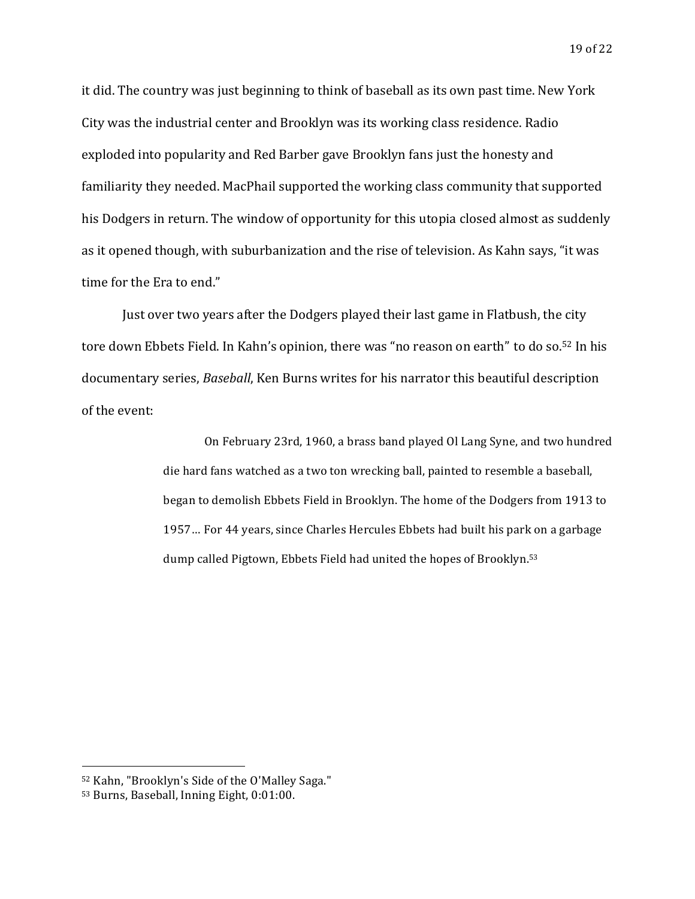it did. The country was just beginning to think of baseball as its own past time. New York City was the industrial center and Brooklyn was its working class residence. Radio exploded into popularity and Red Barber gave Brooklyn fans just the honesty and familiarity they needed. MacPhail supported the working class community that supported his Dodgers in return. The window of opportunity for this utopia closed almost as suddenly as it opened though, with suburbanization and the rise of television. As Kahn says, "it was time for the Era to end."

Just over two years after the Dodgers played their last game in Flatbush, the city tore down Ebbets Field. In Kahn's opinion, there was "no reason on earth" to do so.<sup>52</sup> In his documentary series, *Baseball*, Ken Burns writes for his narrator this beautiful description of the event:

> On February 23rd, 1960, a brass band played Ol Lang Syne, and two hundred die hard fans watched as a two ton wrecking ball, painted to resemble a baseball, began to demolish Ebbets Field in Brooklyn. The home of the Dodgers from 1913 to 1957… For 44 years, since Charles Hercules Ebbets had built his park on a garbage dump called Pigtown, Ebbets Field had united the hopes of Brooklyn.<sup>53</sup>

<sup>52</sup> Kahn, "Brooklyn's Side of the O'Malley Saga."

<sup>53</sup> Burns, Baseball, Inning Eight, 0:01:00.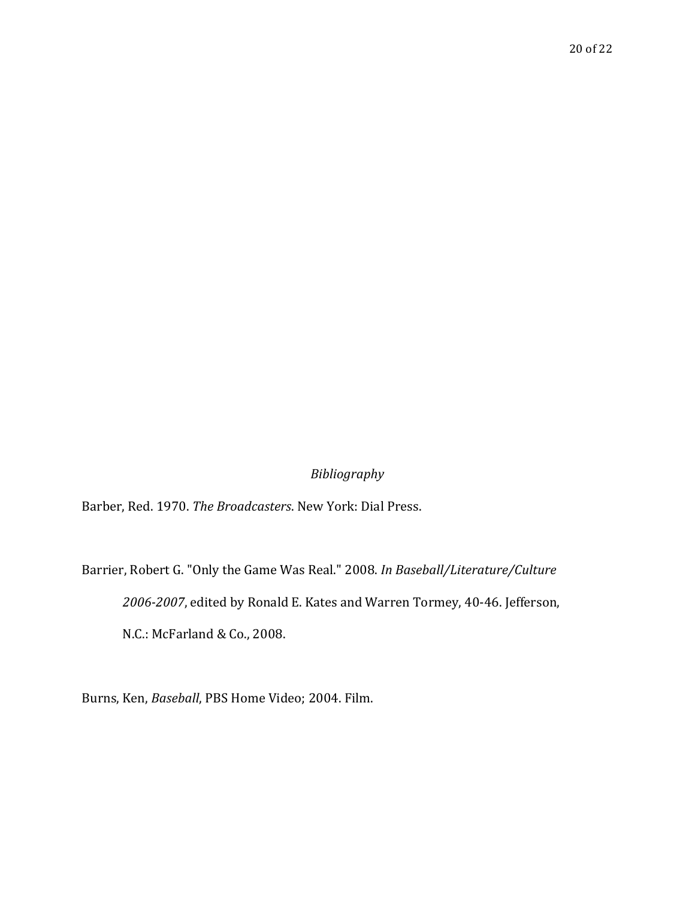## *Bibliography*

Barber, Red. 1970. *The Broadcasters*. New York: Dial Press.

Barrier, Robert G. "Only the Game Was Real." 2008. *In Baseball/Literature/Culture 2006-2007*, edited by Ronald E. Kates and Warren Tormey, 40-46. Jefferson, N.C.: McFarland & Co., 2008.

Burns, Ken, *Baseball*, PBS Home Video; 2004. Film.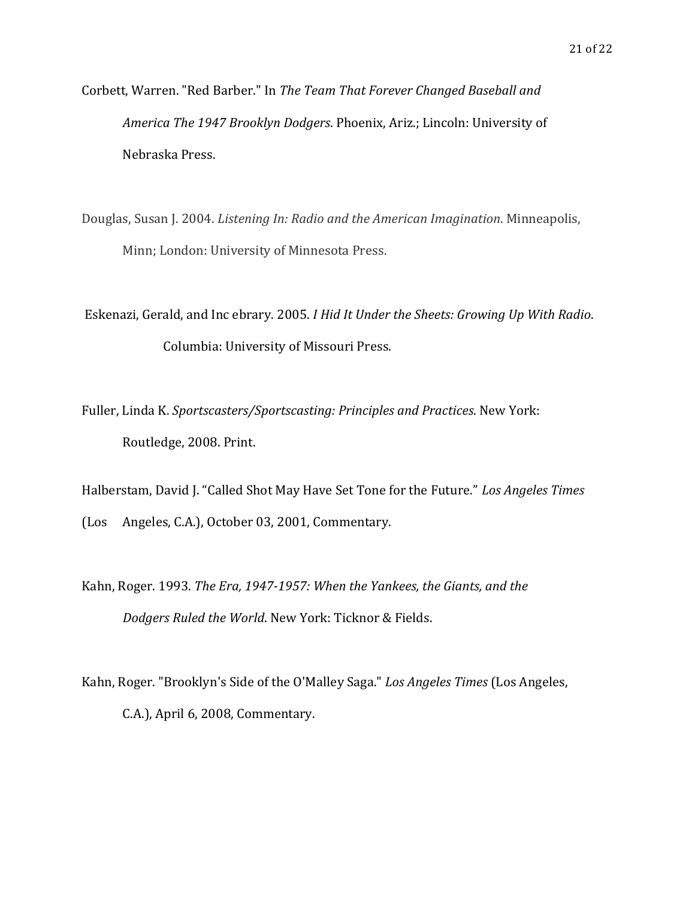Corbett, Warren. "Red Barber." In *The Team That Forever Changed Baseball and America The 1947 Brooklyn Dodgers*. Phoenix, Ariz.; Lincoln: University of Nebraska Press.

Douglas, Susan J. 2004. *Listening In: Radio and the American Imagination*. Minneapolis, Minn; London: University of Minnesota Press.

Eskenazi, Gerald, and Inc ebrary. 2005. *I Hid It Under the Sheets: Growing Up With Radio*. Columbia: University of Missouri Press.

Fuller, Linda K. *Sportscasters/Sportscasting: Principles and Practices*. New York: Routledge, 2008. Print.

Halberstam, David J. "Called Shot May Have Set Tone for the Future." *Los Angeles Times*

(Los Angeles, C.A.), October 03, 2001, Commentary.

Kahn, Roger. 1993. *The Era, 1947-1957: When the Yankees, the Giants, and the Dodgers Ruled the World*. New York: Ticknor & Fields.

Kahn, Roger. "Brooklyn's Side of the O'Malley Saga." *Los Angeles Times* (Los Angeles, C.A.), April 6, 2008, Commentary.